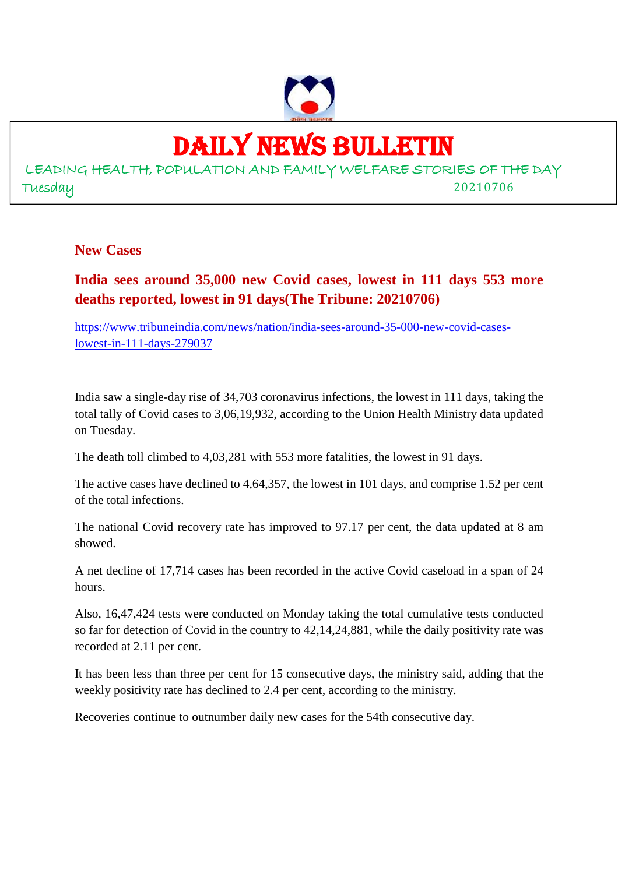

## DAILY NEWS BULLETIN

LEADING HEALTH, POPULATION AND FAMILY WELFARE STORIES OF THE DAY Tuesday 20210706

#### **New Cases**

#### **India sees around 35,000 new Covid cases, lowest in 111 days 553 more deaths reported, lowest in 91 days(The Tribune: 20210706)**

https://www.tribuneindia.com/news/nation/india-sees-around-35-000-new-covid-caseslowest-in-111-days-279037

India saw a single-day rise of 34,703 coronavirus infections, the lowest in 111 days, taking the total tally of Covid cases to 3,06,19,932, according to the Union Health Ministry data updated on Tuesday.

The death toll climbed to 4,03,281 with 553 more fatalities, the lowest in 91 days.

The active cases have declined to 4,64,357, the lowest in 101 days, and comprise 1.52 per cent of the total infections.

The national Covid recovery rate has improved to 97.17 per cent, the data updated at 8 am showed.

A net decline of 17,714 cases has been recorded in the active Covid caseload in a span of 24 hours.

Also, 16,47,424 tests were conducted on Monday taking the total cumulative tests conducted so far for detection of Covid in the country to 42,14,24,881, while the daily positivity rate was recorded at 2.11 per cent.

It has been less than three per cent for 15 consecutive days, the ministry said, adding that the weekly positivity rate has declined to 2.4 per cent, according to the ministry.

Recoveries continue to outnumber daily new cases for the 54th consecutive day.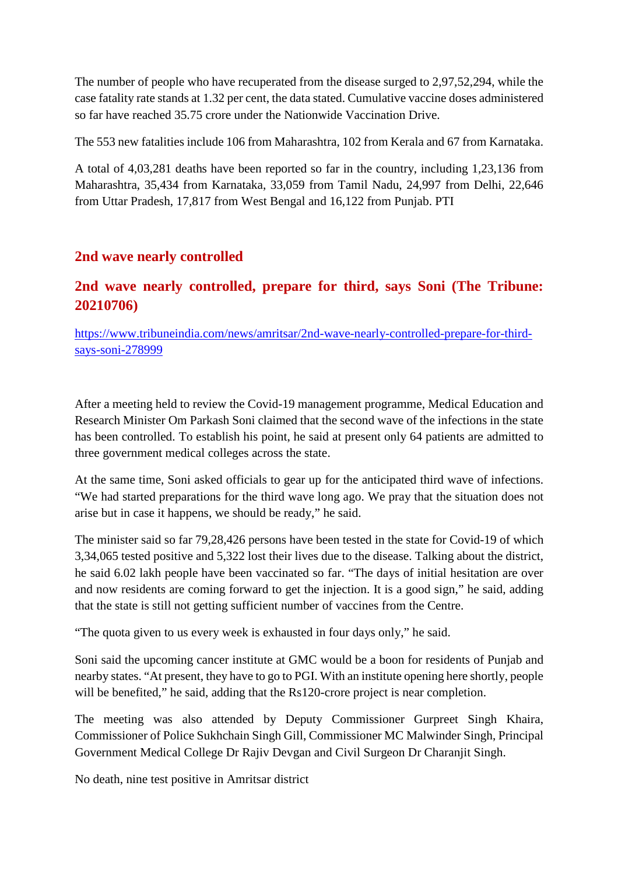The number of people who have recuperated from the disease surged to 2,97,52,294, while the case fatality rate stands at 1.32 per cent, the data stated. Cumulative vaccine doses administered so far have reached 35.75 crore under the Nationwide Vaccination Drive.

The 553 new fatalities include 106 from Maharashtra, 102 from Kerala and 67 from Karnataka.

A total of 4,03,281 deaths have been reported so far in the country, including 1,23,136 from Maharashtra, 35,434 from Karnataka, 33,059 from Tamil Nadu, 24,997 from Delhi, 22,646 from Uttar Pradesh, 17,817 from West Bengal and 16,122 from Punjab. PTI

#### **2nd wave nearly controlled**

#### **2nd wave nearly controlled, prepare for third, says Soni (The Tribune: 20210706)**

https://www.tribuneindia.com/news/amritsar/2nd-wave-nearly-controlled-prepare-for-thirdsays-soni-278999

After a meeting held to review the Covid-19 management programme, Medical Education and Research Minister Om Parkash Soni claimed that the second wave of the infections in the state has been controlled. To establish his point, he said at present only 64 patients are admitted to three government medical colleges across the state.

At the same time, Soni asked officials to gear up for the anticipated third wave of infections. "We had started preparations for the third wave long ago. We pray that the situation does not arise but in case it happens, we should be ready," he said.

The minister said so far 79,28,426 persons have been tested in the state for Covid-19 of which 3,34,065 tested positive and 5,322 lost their lives due to the disease. Talking about the district, he said 6.02 lakh people have been vaccinated so far. "The days of initial hesitation are over and now residents are coming forward to get the injection. It is a good sign," he said, adding that the state is still not getting sufficient number of vaccines from the Centre.

"The quota given to us every week is exhausted in four days only," he said.

Soni said the upcoming cancer institute at GMC would be a boon for residents of Punjab and nearby states. "At present, they have to go to PGI. With an institute opening here shortly, people will be benefited," he said, adding that the Rs120-crore project is near completion.

The meeting was also attended by Deputy Commissioner Gurpreet Singh Khaira, Commissioner of Police Sukhchain Singh Gill, Commissioner MC Malwinder Singh, Principal Government Medical College Dr Rajiv Devgan and Civil Surgeon Dr Charanjit Singh.

No death, nine test positive in Amritsar district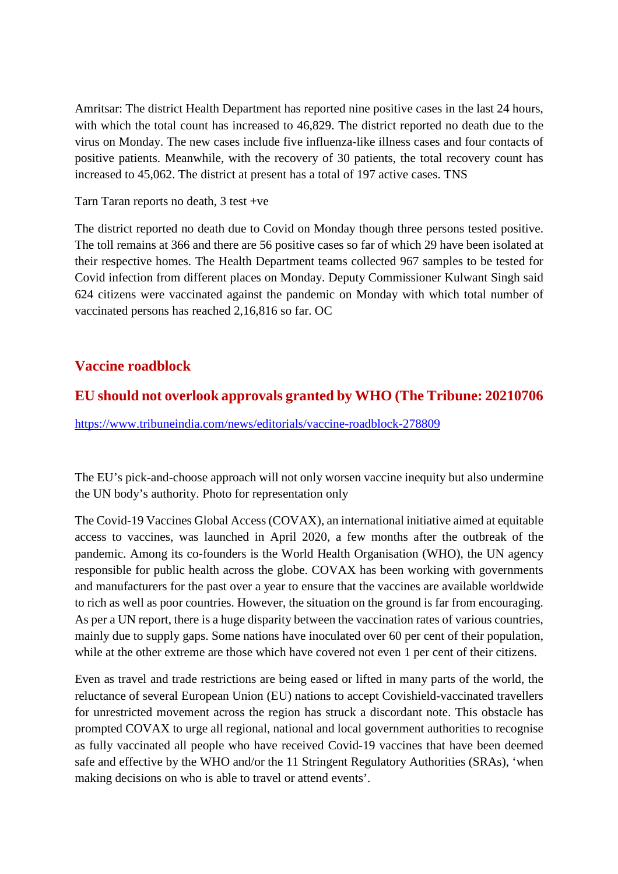Amritsar: The district Health Department has reported nine positive cases in the last 24 hours, with which the total count has increased to 46,829. The district reported no death due to the virus on Monday. The new cases include five influenza-like illness cases and four contacts of positive patients. Meanwhile, with the recovery of 30 patients, the total recovery count has increased to 45,062. The district at present has a total of 197 active cases. TNS

Tarn Taran reports no death, 3 test +ve

The district reported no death due to Covid on Monday though three persons tested positive. The toll remains at 366 and there are 56 positive cases so far of which 29 have been isolated at their respective homes. The Health Department teams collected 967 samples to be tested for Covid infection from different places on Monday. Deputy Commissioner Kulwant Singh said 624 citizens were vaccinated against the pandemic on Monday with which total number of vaccinated persons has reached 2,16,816 so far. OC

#### **Vaccine roadblock**

#### **EU should not overlook approvals granted by WHO (The Tribune: 20210706**

https://www.tribuneindia.com/news/editorials/vaccine-roadblock-278809

The EU's pick-and-choose approach will not only worsen vaccine inequity but also undermine the UN body's authority. Photo for representation only

The Covid-19 Vaccines Global Access (COVAX), an international initiative aimed at equitable access to vaccines, was launched in April 2020, a few months after the outbreak of the pandemic. Among its co-founders is the World Health Organisation (WHO), the UN agency responsible for public health across the globe. COVAX has been working with governments and manufacturers for the past over a year to ensure that the vaccines are available worldwide to rich as well as poor countries. However, the situation on the ground is far from encouraging. As per a UN report, there is a huge disparity between the vaccination rates of various countries, mainly due to supply gaps. Some nations have inoculated over 60 per cent of their population, while at the other extreme are those which have covered not even 1 per cent of their citizens.

Even as travel and trade restrictions are being eased or lifted in many parts of the world, the reluctance of several European Union (EU) nations to accept Covishield-vaccinated travellers for unrestricted movement across the region has struck a discordant note. This obstacle has prompted COVAX to urge all regional, national and local government authorities to recognise as fully vaccinated all people who have received Covid-19 vaccines that have been deemed safe and effective by the WHO and/or the 11 Stringent Regulatory Authorities (SRAs), 'when making decisions on who is able to travel or attend events'.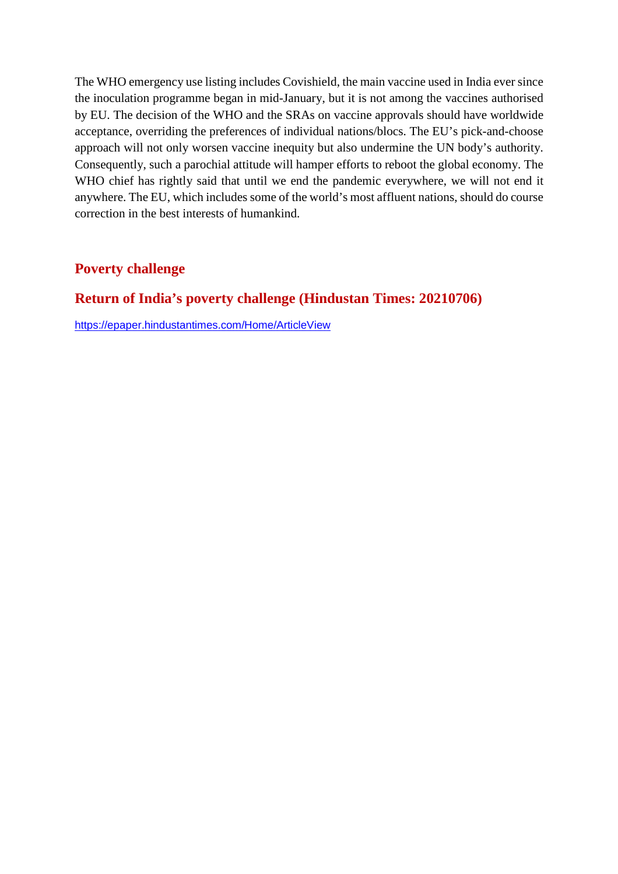The WHO emergency use listing includes Covishield, the main vaccine used in India ever since the inoculation programme began in mid-January, but it is not among the vaccines authorised by EU. The decision of the WHO and the SRAs on vaccine approvals should have worldwide acceptance, overriding the preferences of individual nations/blocs. The EU's pick-and-choose approach will not only worsen vaccine inequity but also undermine the UN body's authority. Consequently, such a parochial attitude will hamper efforts to reboot the global economy. The WHO chief has rightly said that until we end the pandemic everywhere, we will not end it anywhere. The EU, which includes some of the world's most affluent nations, should do course correction in the best interests of humankind.

#### **Poverty challenge**

#### **Return of India's poverty challenge (Hindustan Times: 20210706)**

https://epaper.hindustantimes.com/Home/ArticleView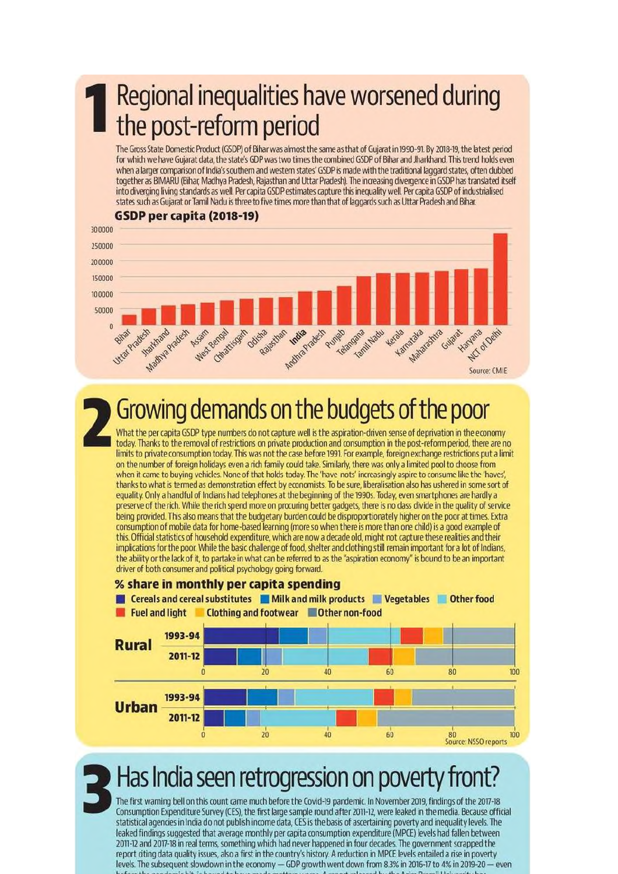## Regional inequalities have worsened during the post-reform period

The Gross State Domestic Product (GSDP) of Bihar was almost the same as that of Gujarat in 1990-91. By 2018-19, the latest period for which we have Gujarat data, the state's GDP was two times the combined GSDP of Bihar and Jharkhand. This trend holds even when a larger comparison of India's southern and western states' GSDP is made with the traditional laggard states, often dubbed together as BIMARU (Bihar, Madhya Pradesh, Rajasthan and Uttar Pradesh). The increasing divergence in GSDP has translated itself into diverging living standards as well. Per capita GSDP estimates capture this inequality well. Per capita GSDP of industrialised states such as Gujarat or Tamil Nadu is three to five times more than that of laggards such as Uttar Pradesh and Bihar.



## Growing demands on the budgets of the poor

What the per capita GSDP type numbers do not capture well is the aspiration-driven sense of deprivation in the economy today. Thanks to the removal of restrictions on private production and consumption in the post-reform period, there are no limits to private consumption today. This was not the case before 1991. For example, foreign exchange restrictions put a limit on the number of foreign holidays even a rich family could take. Similarly, there was only a limited pool to choose from when it came to buying vehicles. None of that holds today. The 'have-nots' increasingly aspire to consume like the 'haves', thanks to what is termed as demonstration effect by economists. To be sure, liberalisation also has ushered in some sort of equality. Only a handful of Indians had telephones at the beginning of the 1990s. Today, even smartphones are hardly a preserve of the rich. While the rich spend more on procuring better gadgets, there is no class divide in the quality of service being provided. This also means that the budgetary burden could be disproportionately higher on the poor at times. Extra consumption of mobile data for home-based learning (more so when there is more than one child) is a good example of this. Official statistics of household expenditure, which are now a decade old, might not capture these realities and their implications for the poor. While the basic challenge of food, shelter and clothing still remain important for a lot of Indians, the ability or the lack of it, to partake in what can be referred to as the "aspiration economy" is bound to be an important driver of both consumer and political psychology going forward



## Has India seen retrogression on poverty front?

The first warning bell on this count came much before the Covid-19 pandemic. In November 2019, findings of the 2017-18 Consumption Expenditure Survey (CES), the first large sample round after 2011-12, were leaked in the media. Because official statistical agencies in India do not publish income data, CES is the basis of ascertaining poverty and inequality levels. The leaked findings suggested that average monthly per capita consumption expenditure (MPCE) levels had fallen between 2011-12 and 2017-18 in real terms, something which had never happened in four decades. The government scrapped the report citing data quality issues, also a first in the country's history. A reduction in MPCE levels entailed a rise in poverty levels. The subsequent slowdown in the economy - GDP growth went down from 8.3% in 2016-17 to 4% in 2019-20 - even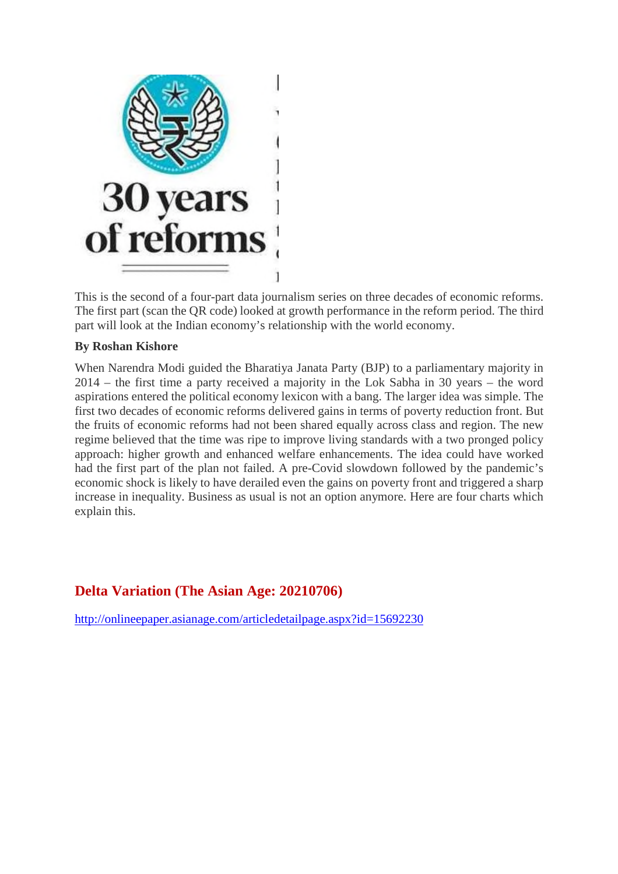

This is the second of a four-part data journalism series on three decades of economic reforms. The first part (scan the QR code) looked at growth performance in the reform period. The third part will look at the Indian economy's relationship with the world economy.

#### **By Roshan Kishore**

When Narendra Modi guided the Bharatiya Janata Party (BJP) to a parliamentary majority in 2014 – the first time a party received a majority in the Lok Sabha in 30 years – the word aspirations entered the political economy lexicon with a bang. The larger idea was simple. The first two decades of economic reforms delivered gains in terms of poverty reduction front. But the fruits of economic reforms had not been shared equally across class and region. The new regime believed that the time was ripe to improve living standards with a two pronged policy approach: higher growth and enhanced welfare enhancements. The idea could have worked had the first part of the plan not failed. A pre-Covid slowdown followed by the pandemic's economic shock is likely to have derailed even the gains on poverty front and triggered a sharp increase in inequality. Business as usual is not an option anymore. Here are four charts which explain this.

#### **Delta Variation (The Asian Age: 20210706)**

http://onlineepaper.asianage.com/articledetailpage.aspx?id=15692230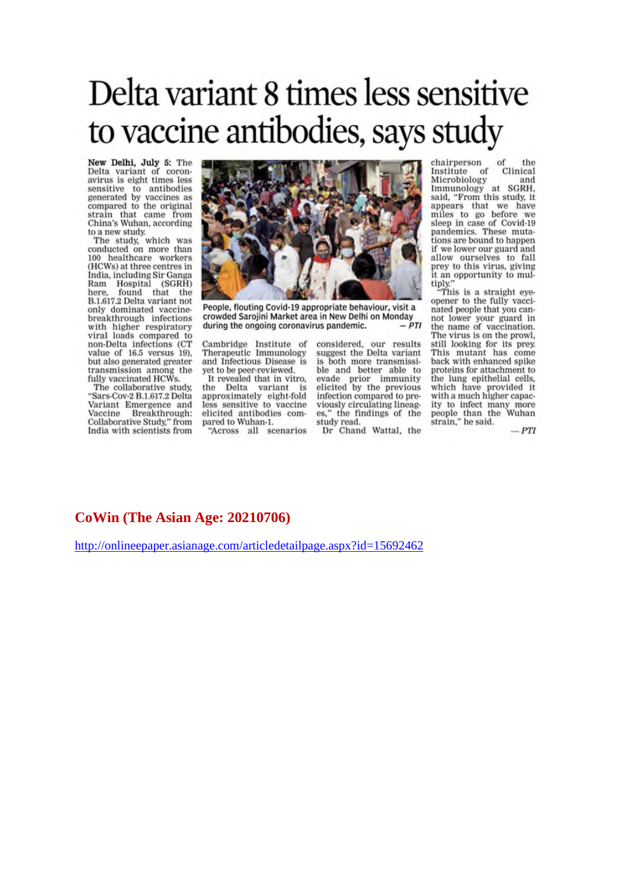## Delta variant 8 times less sensitive to vaccine antibodies, says study

New Delhi, July 5: The Delta variant of coronavirus is eight times less sensitive to antibodies<br>generated by vaccines as compared to the original strain that came from China's Wuhan, according

to a new study.<br>The study, which was<br>conducted on more than 100 healthcare workers<br>(HCWs) at three centres in India, including Sir Ganga Ram Hospital (SGRH) here, found that the<br>B.1.617.2 Delta variant not only dominated vaccinebreakthrough infections with higher respiratory<br>viral loads compared to non-Delta infections (CT value of 16.5 versus 19). but also generated greater transmission among the fully vaccinated HCWs.

The collaborative study, "Sars-Cov-2 B.1.617.2 Delta Variant Emergence and Breakthrough: Vaccine Collaborative Study," from India with scientists from



People, flouting Covid-19 appropriate behaviour, visit a crowded Sarojini Market area in New Delhi on Monday  $-PTI$ during the ongoing coronavirus pandemic.

Cambridge Institute of<br>Therapeutic Immunology and Infectious Disease is yet to be peer-reviewed. It revealed that in vitro,

the Delta variant approximately eight-fold less sensitive to vaccine elicited antibodies compared to Wuhan-1.

"Across all scenarios

considered, our results<br>suggest the Delta variant is both more transmissible and better able to evade prior immunity<br>elicited by the previous infection compared to previously circulating lineages," the findings of the study read.

Dr Chand Wattal, the

chairperson of the of Clinical Institute Microbiology and Immunology at SGRH,<br>said, "From this study, it appears that we have<br>miles to go before we sleep in case of Covid-19 pandemics. These mutations are bound to happen if we lower our guard and allow ourselves to fall prey to this virus, giving it an opportunity to multiply."<br>"This is a straight eve-

opener to the fully vaccinated people that you cannot lower your guard in the name of vaccination. The virus is on the prowl, still looking for its prey. This mutant has come back with enhanced spike proteins for attachment to the lung epithelial cells, which have provided it with a much higher capacity to infect many more people than the<br>strain," he said. Wuhan

 $-PTI$ 

#### **CoWin (The Asian Age: 20210706)**

http://onlineepaper.asianage.com/articledetailpage.aspx?id=15692462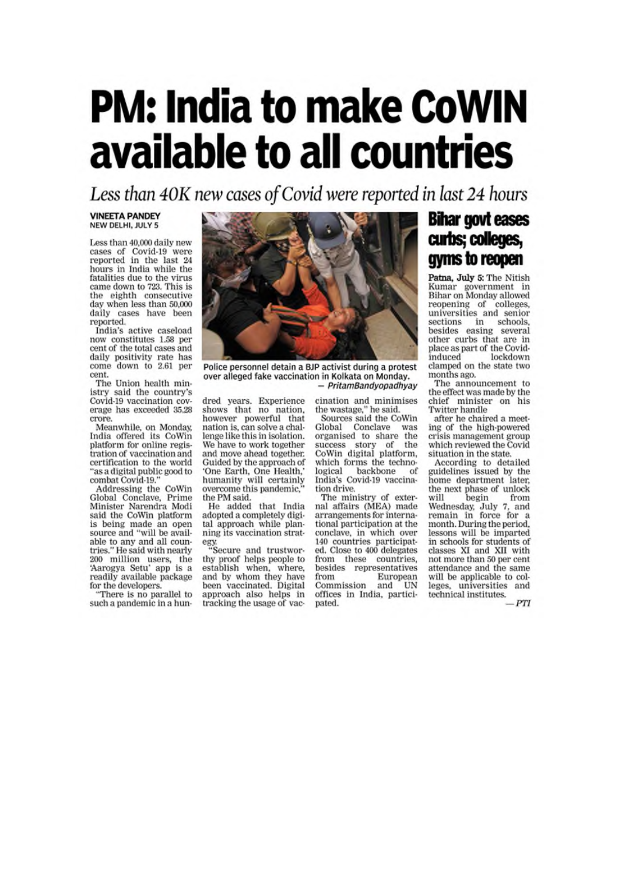# **PM: India to make CoWIN** available to all countries

Less than 40K new cases of Covid were reported in last 24 hours

#### **VINEETA PANDEY** NEW DELHI, JULY 5

Less than 40,000 daily new cases of Covid-19 were<br>reported in the last 24 hours in India while the fatalities due to the virus came down to 723. This is the eighth consecutive day when less than 50,000 daily cases have been<br>reported.

India's active caseload now constitutes 1.58 per cent of the total cases and daily positivity rate has come down to 2.61 per cent.

The Union health ministry said the country's Covid-19 vaccination coverage has exceeded 35.28 crore.

Meanwhile, on Monday, India offered its CoWin platform for online registration of vaccination and certification to the world "as a digital public good to combat Covid-19."

Addressing the CoWin Global Conclave, Prime Minister Narendra Modi said the CoWin platform is being made an open source and "will be available to any and all countries." He said with nearly 200 million users, the<br>'Aarogya Setu' app is a readily available package for the developers.

"There is no parallel to such a pandemic in a hun-



Police personnel detain a BJP activist during a protest over alleged fake vaccination in Kolkata on Monday. - PritamBandyopadhyay

dred years. Experience shows that no nation, however powerful that nation is, can solve a challenge like this in isolation. We have to work together and move ahead together. Guided by the approach of 'One Earth, One Health,' humanity will certainly overcome this pandemic, the PM said.

He added that India adopted a completely digital approach while planning its vaccination strat-

egy.<br>"Secure and trustworthy proof helps people to establish when, where, and by whom they have been vaccinated. Digital approach also helps in tracking the usage of vaccination and minimises the wastage," he said.

Sources said the CoWin Global Conclave was organised to share the success story of the<br>CoWin digital platform, which forms the technological backbone of India's Covid-19 vaccination drive.

The ministry of external affairs (MEA) made arrangements for international participation at the conclave, in which over 140 countries participated. Close to 400 delegates from these countries, besides representatives from European Commission and UN offices in India, participated.

## **Bihar govt eases** curbs; colleges, gyms to reopen

Patna, July 5: The Nitish Kumar government in<br>Bihar on Monday allowed reopening of colleges, universities and senior sections in schools,<br>besides easing several other curbs that are in place as part of the Covidinduced lockdown clamped on the state two months ago.

The announcement to the effect was made by the chief minister on his Twitter handle

after he chaired a meeting of the high-powered crisis management group which reviewed the Covid situation in the state.

According to detailed guidelines issued by the home department later, the next phase of unlock begin will from Wednesday, July 7, and<br>remain in force for a month. During the period, lessons will be imparted in schools for students of classes XI and XII with not more than 50 per cent attendance and the same will be applicable to colleges, universities and technical institutes.

PTI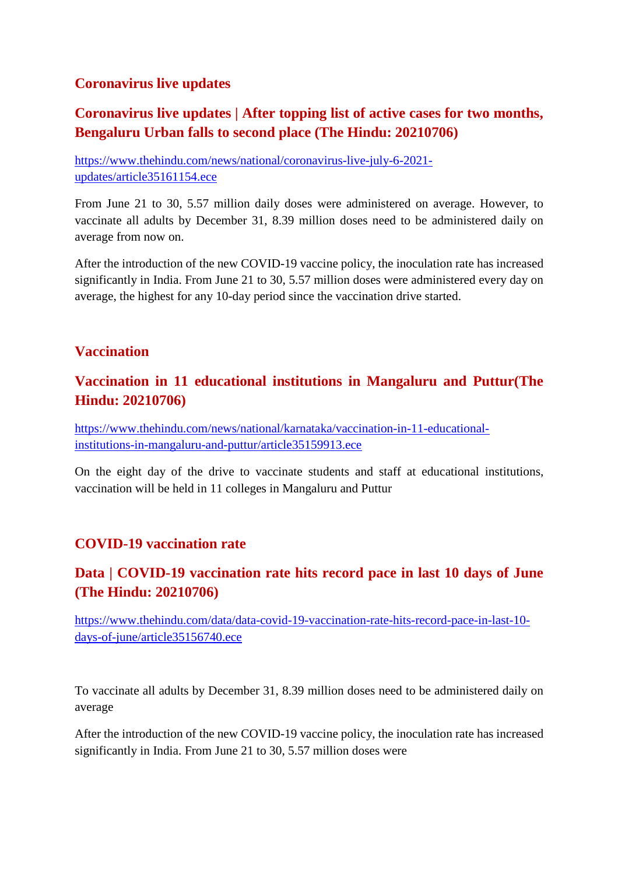#### **Coronavirus live updates**

### **Coronavirus live updates | After topping list of active cases for two months, Bengaluru Urban falls to second place (The Hindu: 20210706)**

https://www.thehindu.com/news/national/coronavirus-live-july-6-2021 updates/article35161154.ece

From June 21 to 30, 5.57 million daily doses were administered on average. However, to vaccinate all adults by December 31, 8.39 million doses need to be administered daily on average from now on.

After the introduction of the new COVID-19 vaccine policy, the inoculation rate has increased significantly in India. From June 21 to 30, 5.57 million doses were administered every day on average, the highest for any 10-day period since the vaccination drive started.

#### **Vaccination**

#### **Vaccination in 11 educational institutions in Mangaluru and Puttur(The Hindu: 20210706)**

https://www.thehindu.com/news/national/karnataka/vaccination-in-11-educationalinstitutions-in-mangaluru-and-puttur/article35159913.ece

On the eight day of the drive to vaccinate students and staff at educational institutions, vaccination will be held in 11 colleges in Mangaluru and Puttur

#### **COVID-19 vaccination rate**

### **Data | COVID-19 vaccination rate hits record pace in last 10 days of June (The Hindu: 20210706)**

https://www.thehindu.com/data/data-covid-19-vaccination-rate-hits-record-pace-in-last-10 days-of-june/article35156740.ece

To vaccinate all adults by December 31, 8.39 million doses need to be administered daily on average

After the introduction of the new COVID-19 vaccine policy, the inoculation rate has increased significantly in India. From June 21 to 30, 5.57 million doses were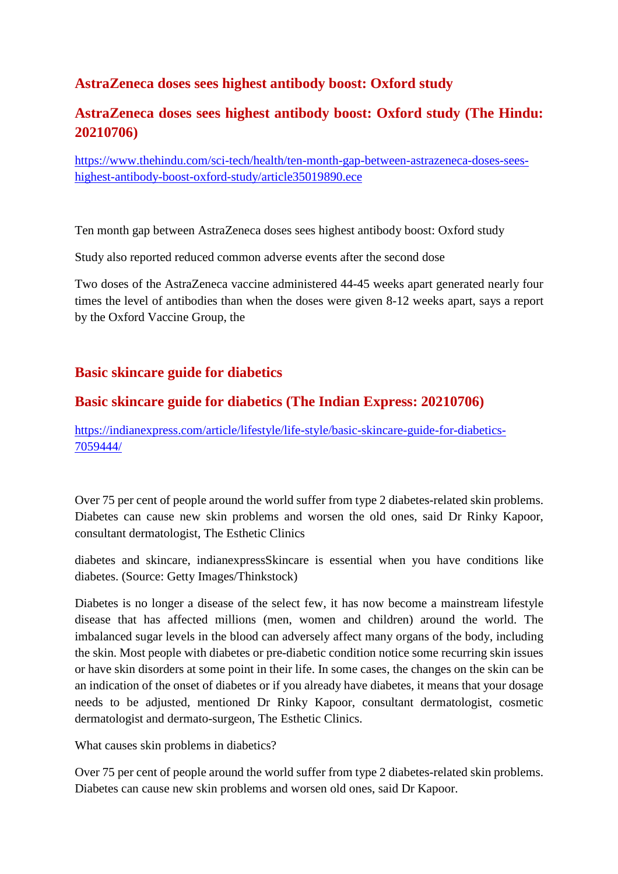#### **AstraZeneca doses sees highest antibody boost: Oxford study**

## **AstraZeneca doses sees highest antibody boost: Oxford study (The Hindu: 20210706)**

https://www.thehindu.com/sci-tech/health/ten-month-gap-between-astrazeneca-doses-seeshighest-antibody-boost-oxford-study/article35019890.ece

Ten month gap between AstraZeneca doses sees highest antibody boost: Oxford study

Study also reported reduced common adverse events after the second dose

Two doses of the AstraZeneca vaccine administered 44-45 weeks apart generated nearly four times the level of antibodies than when the doses were given 8-12 weeks apart, says a report by the Oxford Vaccine Group, the

#### **Basic skincare guide for diabetics**

#### **Basic skincare guide for diabetics (The Indian Express: 20210706)**

https://indianexpress.com/article/lifestyle/life-style/basic-skincare-guide-for-diabetics-7059444/

Over 75 per cent of people around the world suffer from type 2 diabetes-related skin problems. Diabetes can cause new skin problems and worsen the old ones, said Dr Rinky Kapoor, consultant dermatologist, The Esthetic Clinics

diabetes and skincare, indianexpressSkincare is essential when you have conditions like diabetes. (Source: Getty Images/Thinkstock)

Diabetes is no longer a disease of the select few, it has now become a mainstream lifestyle disease that has affected millions (men, women and children) around the world. The imbalanced sugar levels in the blood can adversely affect many organs of the body, including the skin. Most people with diabetes or pre-diabetic condition notice some recurring skin issues or have skin disorders at some point in their life. In some cases, the changes on the skin can be an indication of the onset of diabetes or if you already have diabetes, it means that your dosage needs to be adjusted, mentioned Dr Rinky Kapoor, consultant dermatologist, cosmetic dermatologist and dermato-surgeon, The Esthetic Clinics.

What causes skin problems in diabetics?

Over 75 per cent of people around the world suffer from type 2 diabetes-related skin problems. Diabetes can cause new skin problems and worsen old ones, said Dr Kapoor.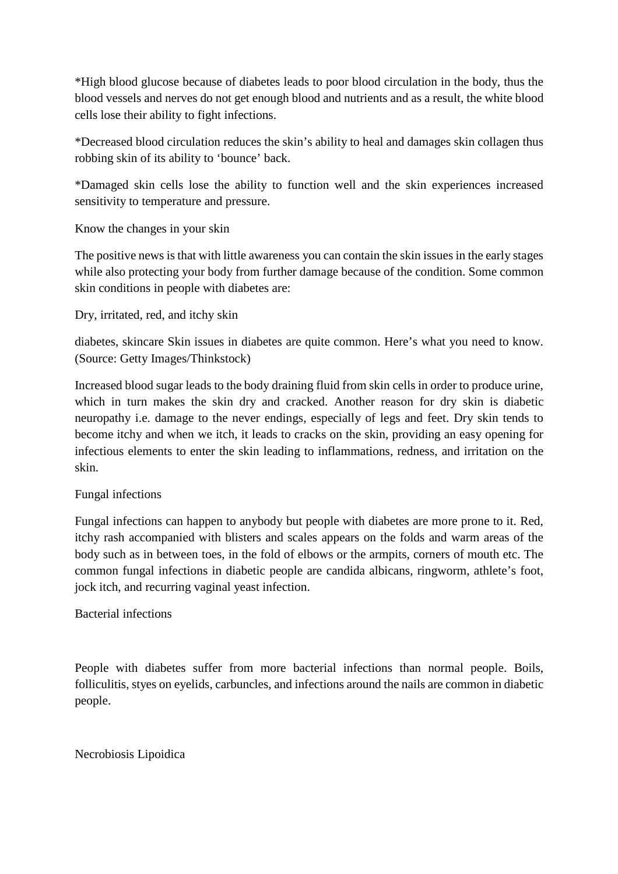\*High blood glucose because of diabetes leads to poor blood circulation in the body, thus the blood vessels and nerves do not get enough blood and nutrients and as a result, the white blood cells lose their ability to fight infections.

\*Decreased blood circulation reduces the skin's ability to heal and damages skin collagen thus robbing skin of its ability to 'bounce' back.

\*Damaged skin cells lose the ability to function well and the skin experiences increased sensitivity to temperature and pressure.

Know the changes in your skin

The positive news is that with little awareness you can contain the skin issues in the early stages while also protecting your body from further damage because of the condition. Some common skin conditions in people with diabetes are:

Dry, irritated, red, and itchy skin

diabetes, skincare Skin issues in diabetes are quite common. Here's what you need to know. (Source: Getty Images/Thinkstock)

Increased blood sugar leads to the body draining fluid from skin cells in order to produce urine, which in turn makes the skin dry and cracked. Another reason for dry skin is diabetic neuropathy i.e. damage to the never endings, especially of legs and feet. Dry skin tends to become itchy and when we itch, it leads to cracks on the skin, providing an easy opening for infectious elements to enter the skin leading to inflammations, redness, and irritation on the skin.

#### Fungal infections

Fungal infections can happen to anybody but people with diabetes are more prone to it. Red, itchy rash accompanied with blisters and scales appears on the folds and warm areas of the body such as in between toes, in the fold of elbows or the armpits, corners of mouth etc. The common fungal infections in diabetic people are candida albicans, ringworm, athlete's foot, jock itch, and recurring vaginal yeast infection.

#### Bacterial infections

People with diabetes suffer from more bacterial infections than normal people. Boils, folliculitis, styes on eyelids, carbuncles, and infections around the nails are common in diabetic people.

#### Necrobiosis Lipoidica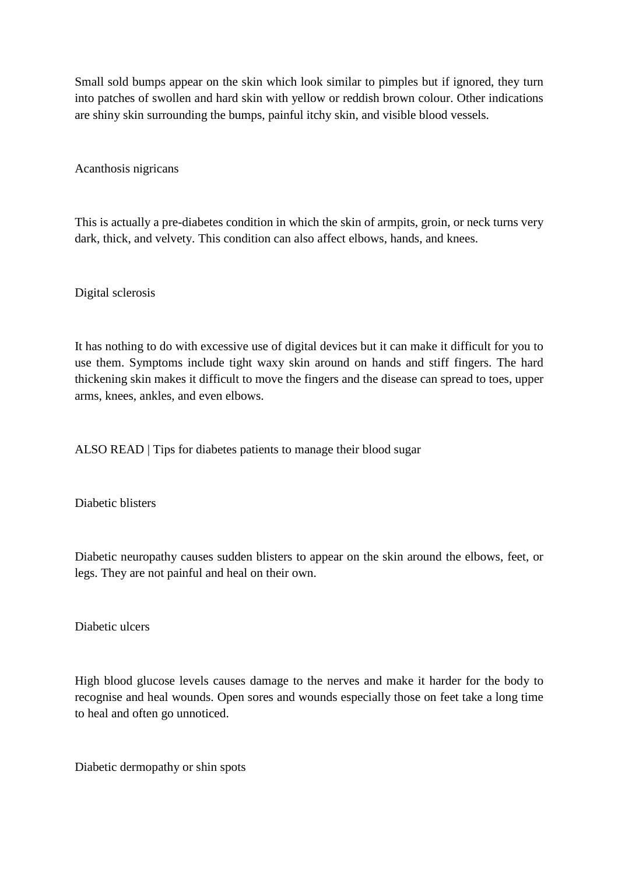Small sold bumps appear on the skin which look similar to pimples but if ignored, they turn into patches of swollen and hard skin with yellow or reddish brown colour. Other indications are shiny skin surrounding the bumps, painful itchy skin, and visible blood vessels.

Acanthosis nigricans

This is actually a pre-diabetes condition in which the skin of armpits, groin, or neck turns very dark, thick, and velvety. This condition can also affect elbows, hands, and knees.

Digital sclerosis

It has nothing to do with excessive use of digital devices but it can make it difficult for you to use them. Symptoms include tight waxy skin around on hands and stiff fingers. The hard thickening skin makes it difficult to move the fingers and the disease can spread to toes, upper arms, knees, ankles, and even elbows.

ALSO READ | Tips for diabetes patients to manage their blood sugar

Diabetic blisters

Diabetic neuropathy causes sudden blisters to appear on the skin around the elbows, feet, or legs. They are not painful and heal on their own.

Diabetic ulcers

High blood glucose levels causes damage to the nerves and make it harder for the body to recognise and heal wounds. Open sores and wounds especially those on feet take a long time to heal and often go unnoticed.

Diabetic dermopathy or shin spots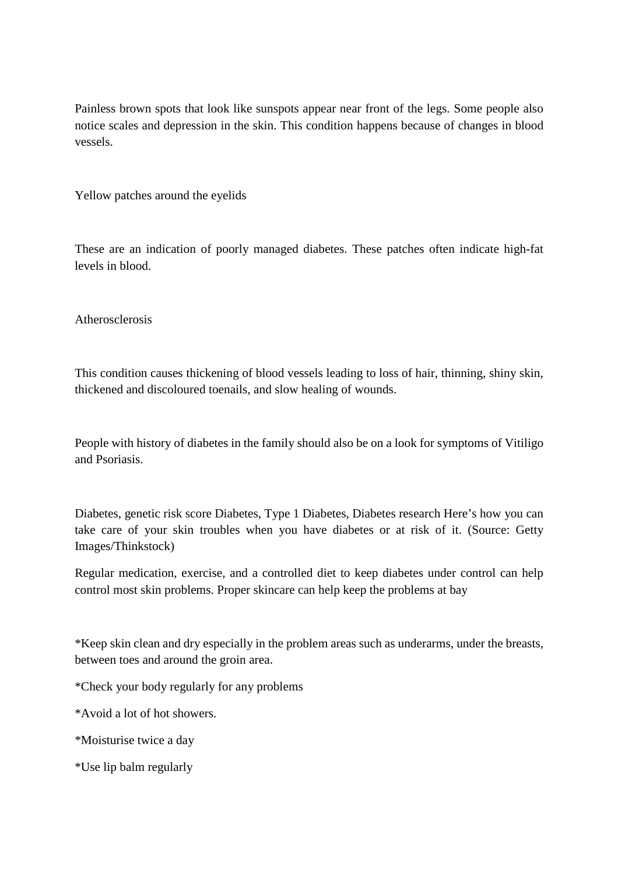Painless brown spots that look like sunspots appear near front of the legs. Some people also notice scales and depression in the skin. This condition happens because of changes in blood vessels.

Yellow patches around the eyelids

These are an indication of poorly managed diabetes. These patches often indicate high-fat levels in blood.

Atherosclerosis

This condition causes thickening of blood vessels leading to loss of hair, thinning, shiny skin, thickened and discoloured toenails, and slow healing of wounds.

People with history of diabetes in the family should also be on a look for symptoms of Vitiligo and Psoriasis.

Diabetes, genetic risk score Diabetes, Type 1 Diabetes, Diabetes research Here's how you can take care of your skin troubles when you have diabetes or at risk of it. (Source: Getty Images/Thinkstock)

Regular medication, exercise, and a controlled diet to keep diabetes under control can help control most skin problems. Proper skincare can help keep the problems at bay

\*Keep skin clean and dry especially in the problem areas such as underarms, under the breasts, between toes and around the groin area.

\*Check your body regularly for any problems

\*Avoid a lot of hot showers.

\*Moisturise twice a day

\*Use lip balm regularly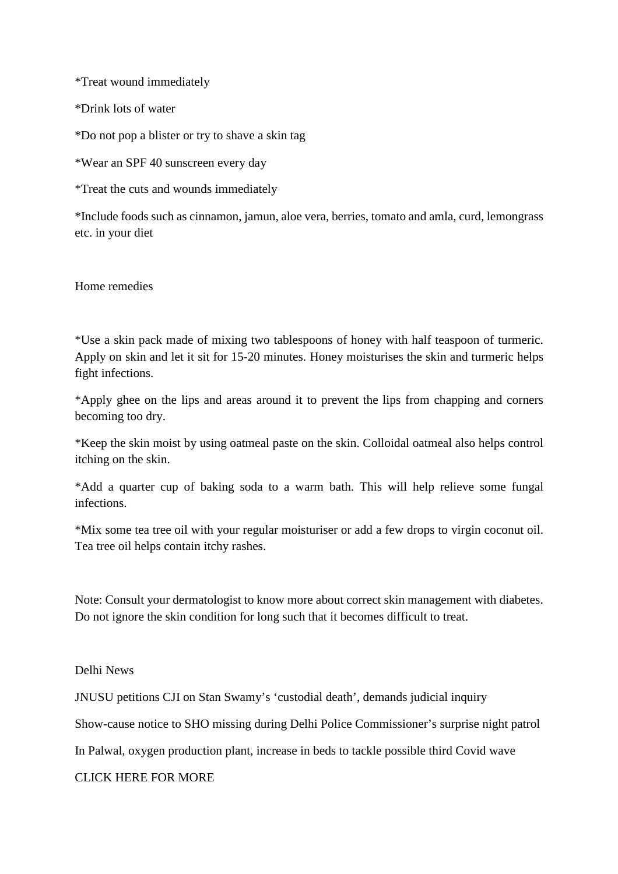\*Treat wound immediately

\*Drink lots of water

\*Do not pop a blister or try to shave a skin tag

\*Wear an SPF 40 sunscreen every day

\*Treat the cuts and wounds immediately

\*Include foods such as cinnamon, jamun, aloe vera, berries, tomato and amla, curd, lemongrass etc. in your diet

Home remedies

\*Use a skin pack made of mixing two tablespoons of honey with half teaspoon of turmeric. Apply on skin and let it sit for 15-20 minutes. Honey moisturises the skin and turmeric helps fight infections.

\*Apply ghee on the lips and areas around it to prevent the lips from chapping and corners becoming too dry.

\*Keep the skin moist by using oatmeal paste on the skin. Colloidal oatmeal also helps control itching on the skin.

\*Add a quarter cup of baking soda to a warm bath. This will help relieve some fungal infections.

\*Mix some tea tree oil with your regular moisturiser or add a few drops to virgin coconut oil. Tea tree oil helps contain itchy rashes.

Note: Consult your dermatologist to know more about correct skin management with diabetes. Do not ignore the skin condition for long such that it becomes difficult to treat.

Delhi News

JNUSU petitions CJI on Stan Swamy's 'custodial death', demands judicial inquiry

Show-cause notice to SHO missing during Delhi Police Commissioner's surprise night patrol

In Palwal, oxygen production plant, increase in beds to tackle possible third Covid wave

CLICK HERE FOR MORE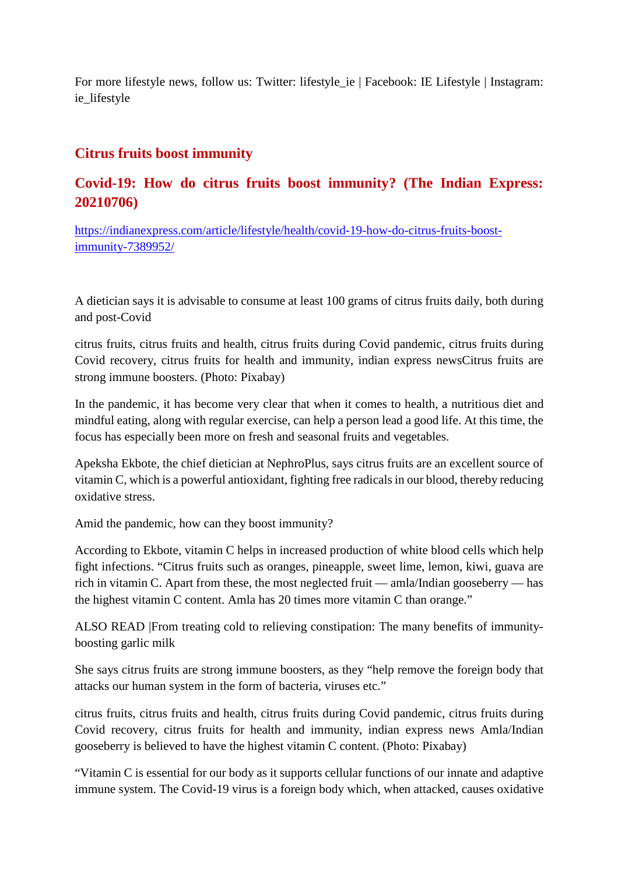For more lifestyle news, follow us: Twitter: lifestyle\_ie | Facebook: IE Lifestyle | Instagram: ie\_lifestyle

#### **Citrus fruits boost immunity**

#### **Covid-19: How do citrus fruits boost immunity? (The Indian Express: 20210706)**

https://indianexpress.com/article/lifestyle/health/covid-19-how-do-citrus-fruits-boostimmunity-7389952/

A dietician says it is advisable to consume at least 100 grams of citrus fruits daily, both during and post-Covid

citrus fruits, citrus fruits and health, citrus fruits during Covid pandemic, citrus fruits during Covid recovery, citrus fruits for health and immunity, indian express newsCitrus fruits are strong immune boosters. (Photo: Pixabay)

In the pandemic, it has become very clear that when it comes to health, a nutritious diet and mindful eating, along with regular exercise, can help a person lead a good life. At this time, the focus has especially been more on fresh and seasonal fruits and vegetables.

Apeksha Ekbote, the chief dietician at NephroPlus, says citrus fruits are an excellent source of vitamin C, which is a powerful antioxidant, fighting free radicals in our blood, thereby reducing oxidative stress.

Amid the pandemic, how can they boost immunity?

According to Ekbote, vitamin C helps in increased production of white blood cells which help fight infections. "Citrus fruits such as oranges, pineapple, sweet lime, lemon, kiwi, guava are rich in vitamin C. Apart from these, the most neglected fruit — amla/Indian gooseberry — has the highest vitamin C content. Amla has 20 times more vitamin C than orange."

ALSO READ |From treating cold to relieving constipation: The many benefits of immunityboosting garlic milk

She says citrus fruits are strong immune boosters, as they "help remove the foreign body that attacks our human system in the form of bacteria, viruses etc."

citrus fruits, citrus fruits and health, citrus fruits during Covid pandemic, citrus fruits during Covid recovery, citrus fruits for health and immunity, indian express news Amla/Indian gooseberry is believed to have the highest vitamin C content. (Photo: Pixabay)

"Vitamin C is essential for our body as it supports cellular functions of our innate and adaptive immune system. The Covid-19 virus is a foreign body which, when attacked, causes oxidative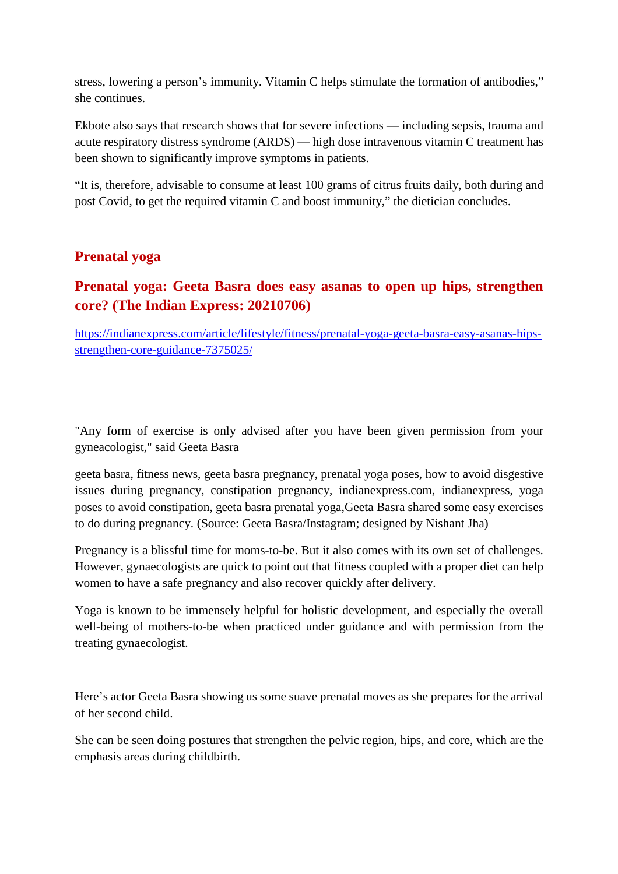stress, lowering a person's immunity. Vitamin C helps stimulate the formation of antibodies," she continues.

Ekbote also says that research shows that for severe infections — including sepsis, trauma and acute respiratory distress syndrome (ARDS) — high dose intravenous vitamin C treatment has been shown to significantly improve symptoms in patients.

"It is, therefore, advisable to consume at least 100 grams of citrus fruits daily, both during and post Covid, to get the required vitamin C and boost immunity," the dietician concludes.

#### **Prenatal yoga**

### **Prenatal yoga: Geeta Basra does easy asanas to open up hips, strengthen core? (The Indian Express: 20210706)**

https://indianexpress.com/article/lifestyle/fitness/prenatal-yoga-geeta-basra-easy-asanas-hipsstrengthen-core-guidance-7375025/

"Any form of exercise is only advised after you have been given permission from your gyneacologist," said Geeta Basra

geeta basra, fitness news, geeta basra pregnancy, prenatal yoga poses, how to avoid disgestive issues during pregnancy, constipation pregnancy, indianexpress.com, indianexpress, yoga poses to avoid constipation, geeta basra prenatal yoga,Geeta Basra shared some easy exercises to do during pregnancy. (Source: Geeta Basra/Instagram; designed by Nishant Jha)

Pregnancy is a blissful time for moms-to-be. But it also comes with its own set of challenges. However, gynaecologists are quick to point out that fitness coupled with a proper diet can help women to have a safe pregnancy and also recover quickly after delivery.

Yoga is known to be immensely helpful for holistic development, and especially the overall well-being of mothers-to-be when practiced under guidance and with permission from the treating gynaecologist.

Here's actor Geeta Basra showing us some suave prenatal moves as she prepares for the arrival of her second child.

She can be seen doing postures that strengthen the pelvic region, hips, and core, which are the emphasis areas during childbirth.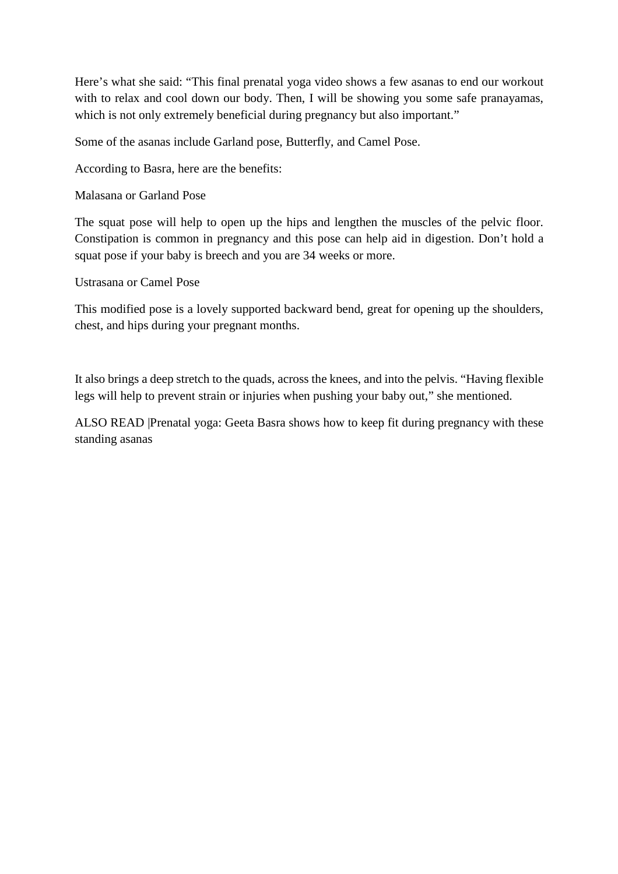Here's what she said: "This final prenatal yoga video shows a few asanas to end our workout with to relax and cool down our body. Then, I will be showing you some safe pranayamas, which is not only extremely beneficial during pregnancy but also important."

Some of the asanas include Garland pose, Butterfly, and Camel Pose.

According to Basra, here are the benefits:

Malasana or Garland Pose

The squat pose will help to open up the hips and lengthen the muscles of the pelvic floor. Constipation is common in pregnancy and this pose can help aid in digestion. Don't hold a squat pose if your baby is breech and you are 34 weeks or more.

Ustrasana or Camel Pose

This modified pose is a lovely supported backward bend, great for opening up the shoulders, chest, and hips during your pregnant months.

It also brings a deep stretch to the quads, across the knees, and into the pelvis. "Having flexible legs will help to prevent strain or injuries when pushing your baby out," she mentioned.

ALSO READ |Prenatal yoga: Geeta Basra shows how to keep fit during pregnancy with these standing asanas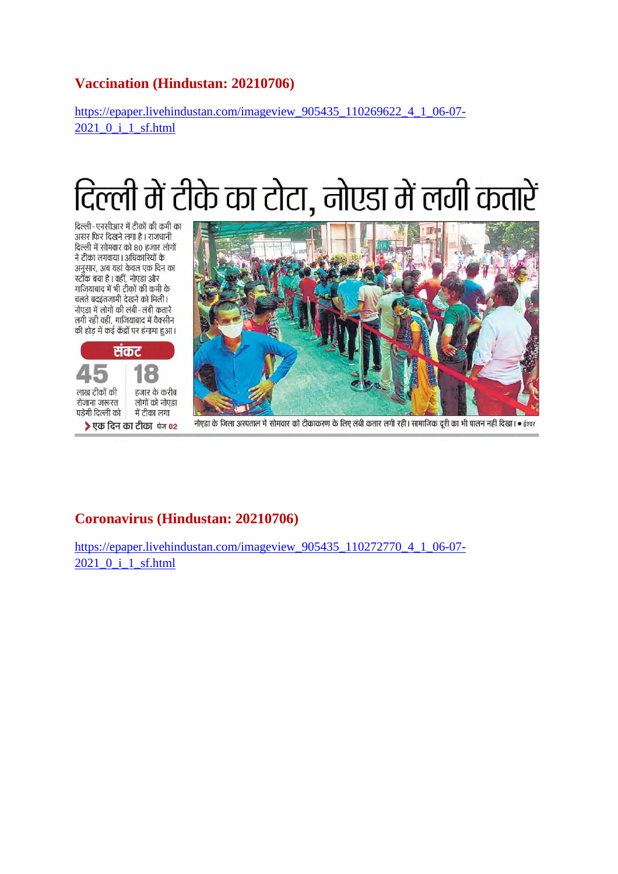#### **Vaccination (Hindustan: 20210706)**

https://epaper.livehindustan.com/imageview\_905435\_110269622\_4\_1\_06-07- 2021 0<sup>i</sup> 1 sf.html

# दिल्ली में टीके का टोटा, नोएडा में लगी कतारें

दिल्ली–एनसीआर में टीकों की कमी का असर फिर दिखने लगा है। राजधानी दिल्ली में सोमवार को 80 हजार लोगों ने टीका लगवाया। अधिकारियों के अनुसार, अब यहां केवल एक दिन का स्टॉक बचा है । वहीं, नोएडा और गाजियाबाद में भी टीकों की कमी के चलते बदइंतजामी देखने को मिली। नोएडा में लोगों की लंबी–लंबी कतारें लगी रही वहीं, गाजियाबाद में वैक्सीन की होड में कई केंद्रों पर हंगामा हुआ।





नोएडा के जिला अस्पताल में सोमवार को टीकाकरण के लिए लंबी कतार लगी रही। सामाजिक दरी का भी पालन नहीं दिखा। ● ईश्वर

#### **Coronavirus (Hindustan: 20210706)**

https://epaper.livehindustan.com/imageview\_905435\_110272770\_4\_1\_06-07-2021\_0\_i\_1\_sf.html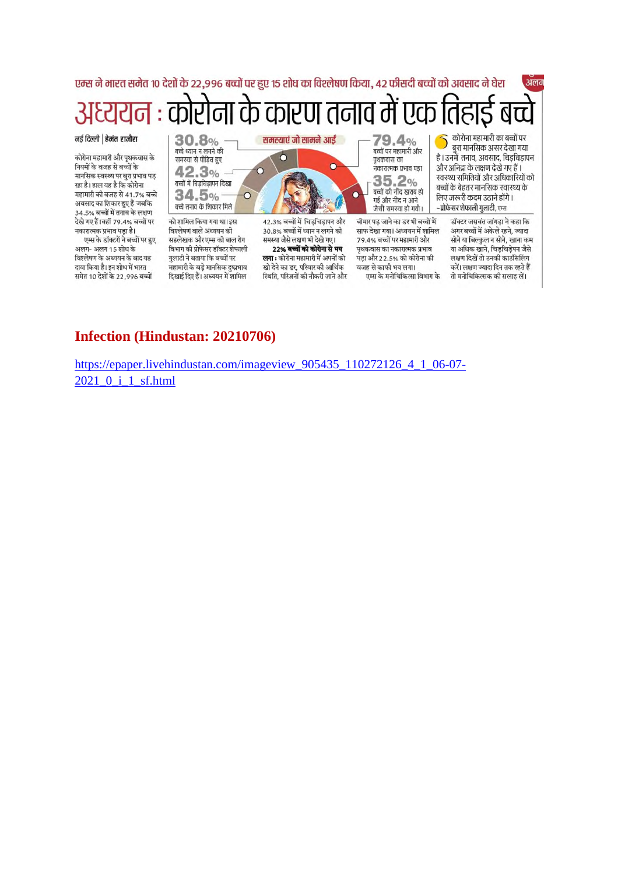#### एम्स ने भारत समेत १० देशों के २२,९९६ बच्चों पर हुए १५ शोध का विश्लेषण किया, ४२ फीसदी बच्चों को अवसाद ने घेरा अलग ना के कारण तनाव म एक कोरोना महामारी का बच्चों पर नई दिल्ली | हेमंत राजौरा  $30.8\%$ समस्याएं जो सामने आईं 79.4% बुरा मानसिक असर देखा गया बच्चों पर महामारी और कोरोना महामारी और पृथकवास के

नियमों के वजह से बच्चों के मानसिक स्वस्थ्य पर बुरा प्रभाव पड रहा है। हाल यह है कि कोरोना महामारी की वजह से 41.7% बच्चे अवसाद का शिकार हुए हैं जबकि 34.5% बच्चों में तनाव के लक्षण देखे गए हैं।वहीं 79.4% बच्चों पर नकारात्मक प्रभाव पड़ा है।

एम्स के डॉक्टरों ने बच्चों पर हुए अलग- अलग 15 शोध के विश्लेषण के अध्ययन के बाद यह दावा किया है। इन शोध में भारत समेत 10 देशों के 22,996 बच्चों



को शामिल किया गया था। इस विश्लेषण वाले अध्ययन की सहलेखक और एम्स की बाल रोग विभाग की प्रोफेसर डॉक्टर शेफाली गुलाटी ने बताया कि बच्चों पर महामारी के बड़े मानसिक दुष्प्रभाव दिखाई दिए हैं। अध्ययन में शामिल



42.3% बच्चों में चिड़चिड़ापन और 30.8% बच्चों में ध्यान न लगने की समस्या जैसे लक्षण भी देखे गए। 22% बच्चों को कोरोना से भय **लगा** : कोरोना महामारी में अपनों को खो देने का डर, परिवार की आर्थिक

स्थिति, परिजनों की नौकरी जाने और

पृथकवास का .<br>नकारात्मक प्रभाव पडा  $35.2%$ बच्चों की नींद खराब हो गई और नींद न आने जैसी समस्या हो गयी।

बीमार पड़ जाने का डर भी बच्चों में साफ देखा गया। अध्ययन में शामिल 79.4% बच्चों पर महामारी और पृथकवास का नकारात्मक प्रभाव पड़ा और 22.5% को कोरोना की वजह से काफी भय लगा। एम्स के मनोचिकित्सा विभाग के

है। उनमें तनाव, अवसाद, चिड़चिड़ापन और अनिद्रा के लक्षण देखे गए हैं। स्वस्थ्य समितियों और अधिकारियों को बच्चों के बेहतर मानसिक स्वास्थ्य के लिए जरूरी कदम उठाने होंगे। –प्रोफेसर शेफाली गुलाटी, एम्स

> डॉक्टर जसवंत जांगड़ा ने कहा कि अगर बच्चों में अकेले रहने, ज्यादा सोने या बिल्कुल न सोने, खाना कम या अधिक खाने, चिड़चिड़ेपन जैसे लक्षण दिखें तो उनकी काउँसिलिंग करें। लक्षण ज्यादा दिन तक रहते हैं तो मनोचिकित्सक की सलाह लें।

#### **Infection (Hindustan: 20210706)**

https://epaper.livehindustan.com/imageview 905435 110272126 4 1 06-07-2021 0 i 1 sf.html

 $\cap$ 

 $\circ$